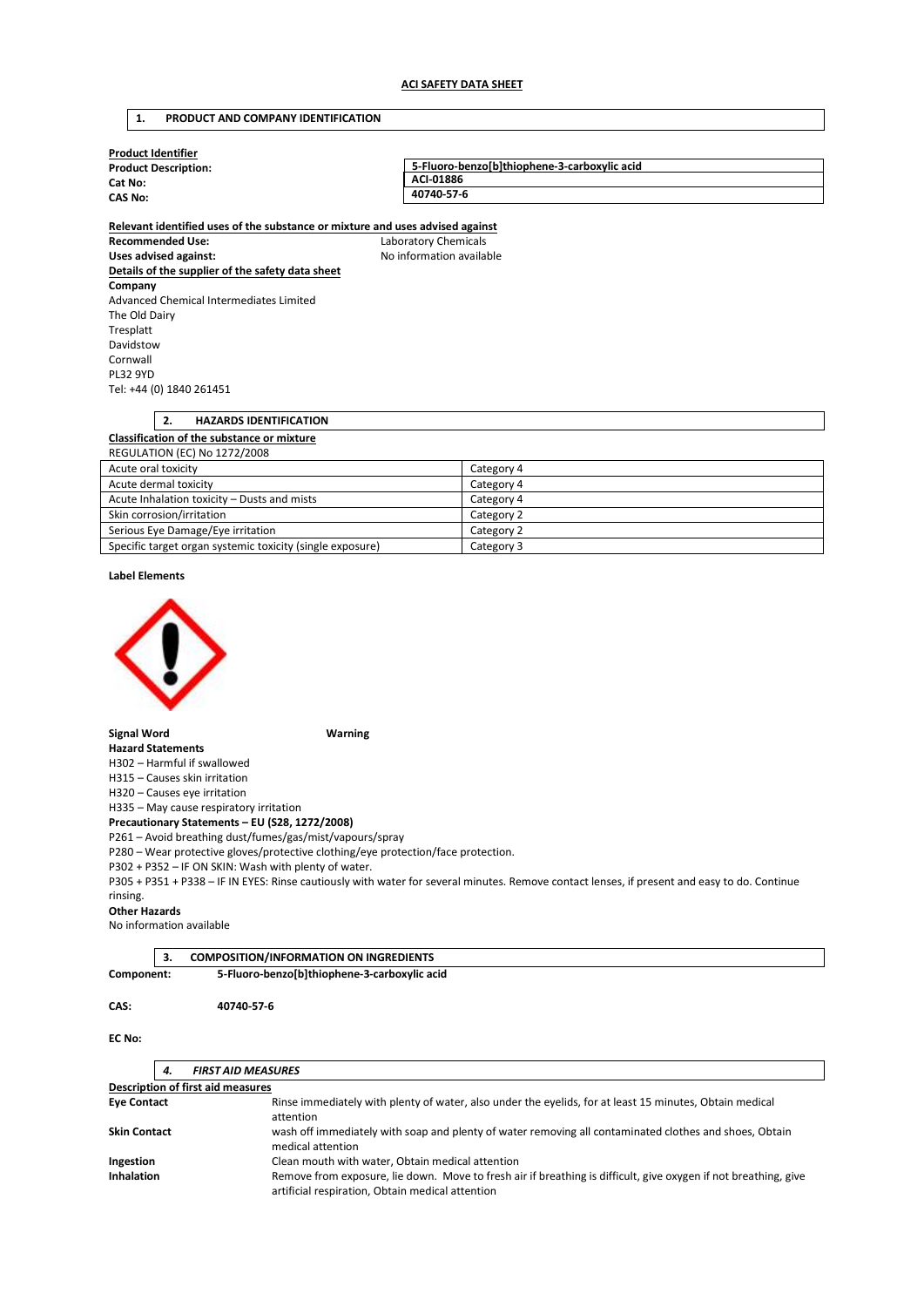## **1. PRODUCT AND COMPANY IDENTIFICATION**

| <b>Product Identifier</b>   |                                              |
|-----------------------------|----------------------------------------------|
| <b>Product Description:</b> | 5-Fluoro-benzolb1thiophene-3-carboxylic acid |
| Cat No:                     | ACI-01886                                    |
| <b>CAS No:</b>              | 40740-57-6                                   |
|                             |                                              |

**Relevant identified uses of the substance or mixture and uses advised against Recommended Use:** Laboratory Chemicals Uses advised against: **No information available Details of the supplier of the safety data sheet Company**  Advanced Chemical Intermediates Limited The Old Dairy Tresplatt Davidstow Cornwall PL32 9YD Tel: +44 (0) 1840 261451

| <b>HAZARDS IDENTIFICATION</b><br>2.               |                                   |  |
|---------------------------------------------------|-----------------------------------|--|
| <b>Classification of the substance or mixture</b> |                                   |  |
| <b>REGULATION (EC) No 1272/2008</b>               |                                   |  |
| Acute oral toxicity                               | Category 4                        |  |
| Acute dermal toxicity                             | Category 4                        |  |
| Acute Inhalation tovicity. Dusts and mists        | $C2 + \alpha \alpha \alpha \beta$ |  |

| Acute Inhalation toxicity – Dusts and mists               | Category 4 |
|-----------------------------------------------------------|------------|
| Skin corrosion/irritation                                 | Category 2 |
| Serious Eye Damage/Eye irritation                         | Category 2 |
| Specific target organ systemic toxicity (single exposure) | Category 3 |

**Label Elements** 



**Signal Word Warning** 

**Hazard Statements**  H302 – Harmful if swallowed

H315 – Causes skin irritation

H320 – Causes eye irritation

H335 – May cause respiratory irritation

**Precautionary Statements – EU (S28, 1272/2008)** 

P261 – Avoid breathing dust/fumes/gas/mist/vapours/spray

P280 – Wear protective gloves/protective clothing/eye protection/face protection.

P302 + P352 – IF ON SKIN: Wash with plenty of water.

P305 + P351 + P338 – IF IN EYES: Rinse cautiously with water for several minutes. Remove contact lenses, if present and easy to do. Continue rinsing.

### **Other Hazards**

No information available

|            | <b>COMPOSITION/INFORMATION ON INGREDIENTS</b> |  |
|------------|-----------------------------------------------|--|
| Component: | 5-Fluoro-benzo[b]thiophene-3-carboxylic acid  |  |

### **CAS: 40740-57-6**

**EC No:** 

| 4.                                                            | <b>FIRST AID MEASURES</b>                                                                                                                                           |  |
|---------------------------------------------------------------|---------------------------------------------------------------------------------------------------------------------------------------------------------------------|--|
| <b>Description of first aid measures</b>                      |                                                                                                                                                                     |  |
| <b>Eye Contact</b>                                            | Rinse immediately with plenty of water, also under the eyelids, for at least 15 minutes, Obtain medical<br>attention                                                |  |
| <b>Skin Contact</b>                                           | wash off immediately with soap and plenty of water removing all contaminated clothes and shoes, Obtain<br>medical attention                                         |  |
| Clean mouth with water, Obtain medical attention<br>Ingestion |                                                                                                                                                                     |  |
| <b>Inhalation</b>                                             | Remove from exposure, lie down. Move to fresh air if breathing is difficult, give oxygen if not breathing, give<br>artificial respiration, Obtain medical attention |  |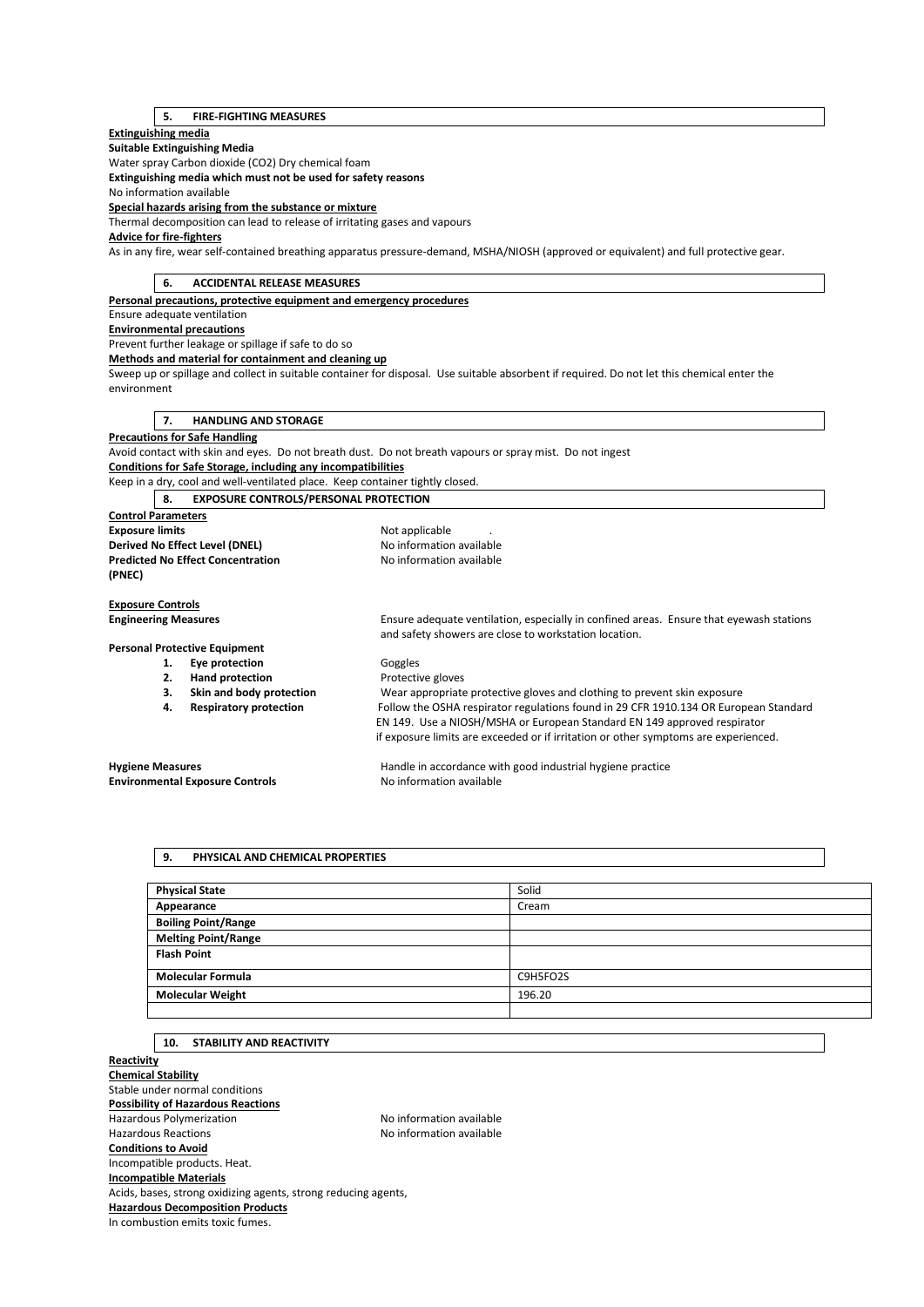# **5. FIRE-FIGHTING MEASURES**

## **Extinguishing media**

**Suitable Extinguishing Media** 

Water spray Carbon dioxide (CO2) Dry chemical foam

**Extinguishing media which must not be used for safety reasons** 

No information available

**Special hazards arising from the substance or mixture** 

Thermal decomposition can lead to release of irritating gases and vapours

# **Advice for fire-fighters**

As in any fire, wear self-contained breathing apparatus pressure-demand, MSHA/NIOSH (approved or equivalent) and full protective gear.

| <b>ACCIDENTAL RELEASE MEASURES</b><br>6.                                      |                                                                                                                                                  |
|-------------------------------------------------------------------------------|--------------------------------------------------------------------------------------------------------------------------------------------------|
| Personal precautions, protective equipment and emergency procedures           |                                                                                                                                                  |
| Ensure adequate ventilation                                                   |                                                                                                                                                  |
| <b>Environmental precautions</b>                                              |                                                                                                                                                  |
| Prevent further leakage or spillage if safe to do so                          |                                                                                                                                                  |
| Methods and material for containment and cleaning up                          |                                                                                                                                                  |
|                                                                               | Sweep up or spillage and collect in suitable container for disposal. Use suitable absorbent if required. Do not let this chemical enter the      |
| environment                                                                   |                                                                                                                                                  |
|                                                                               |                                                                                                                                                  |
| <b>HANDLING AND STORAGE</b><br>7.                                             |                                                                                                                                                  |
| <b>Precautions for Safe Handling</b>                                          |                                                                                                                                                  |
|                                                                               | Avoid contact with skin and eyes. Do not breath dust. Do not breath vapours or spray mist. Do not ingest                                         |
| <b>Conditions for Safe Storage, including any incompatibilities</b>           |                                                                                                                                                  |
| Keep in a dry, cool and well-ventilated place. Keep container tightly closed. |                                                                                                                                                  |
| <b>EXPOSURE CONTROLS/PERSONAL PROTECTION</b><br>8.                            |                                                                                                                                                  |
| <b>Control Parameters</b>                                                     |                                                                                                                                                  |
| <b>Exposure limits</b>                                                        | Not applicable                                                                                                                                   |
| No information available<br>Derived No Effect Level (DNEL)                    |                                                                                                                                                  |
| <b>Predicted No Effect Concentration</b>                                      | No information available                                                                                                                         |
| (PNEC)                                                                        |                                                                                                                                                  |
|                                                                               |                                                                                                                                                  |
| <b>Exposure Controls</b>                                                      |                                                                                                                                                  |
| <b>Engineering Measures</b>                                                   | Ensure adequate ventilation, especially in confined areas. Ensure that eyewash stations<br>and safety showers are close to workstation location. |
| <b>Personal Protective Equipment</b>                                          |                                                                                                                                                  |
| Eye protection<br>1.                                                          | Goggles                                                                                                                                          |
| 2.<br><b>Hand protection</b>                                                  | Protective gloves                                                                                                                                |
| Skin and body protection<br>3.                                                | Wear appropriate protective gloves and clothing to prevent skin exposure                                                                         |
| <b>Respiratory protection</b><br>4.                                           | Follow the OSHA respirator regulations found in 29 CFR 1910.134 OR European Standard                                                             |
|                                                                               | EN 149. Use a NIOSH/MSHA or European Standard EN 149 approved respirator                                                                         |
|                                                                               | if exposure limits are exceeded or if irritation or other symptoms are experienced.                                                              |
|                                                                               |                                                                                                                                                  |
| <b>Hygiene Measures</b>                                                       | Handle in accordance with good industrial hygiene practice                                                                                       |
| <b>Environmental Exposure Controls</b>                                        | No information available                                                                                                                         |
|                                                                               |                                                                                                                                                  |

### **9. PHYSICAL AND CHEMICAL PROPERTIES**

| <b>Physical State</b>      | Solid    |
|----------------------------|----------|
| Appearance                 | Cream    |
| <b>Boiling Point/Range</b> |          |
| <b>Melting Point/Range</b> |          |
| <b>Flash Point</b>         |          |
| <b>Molecular Formula</b>   | C9H5FO2S |
| <b>Molecular Weight</b>    | 196.20   |
|                            |          |

# **10. STABILITY AND REACTIVITY**

**Reactivity Chemical Stability**  Stable under normal conditions **Possibility of Hazardous Reactions**  Hazardous Polymerization and the Society of the No information available<br>Hazardous Reactions available No information available No information available **Conditions to Avoid**  Incompatible products. Heat. **Incompatible Materials**  Acids, bases, strong oxidizing agents, strong reducing agents, **Hazardous Decomposition Products**  In combustion emits toxic fumes.